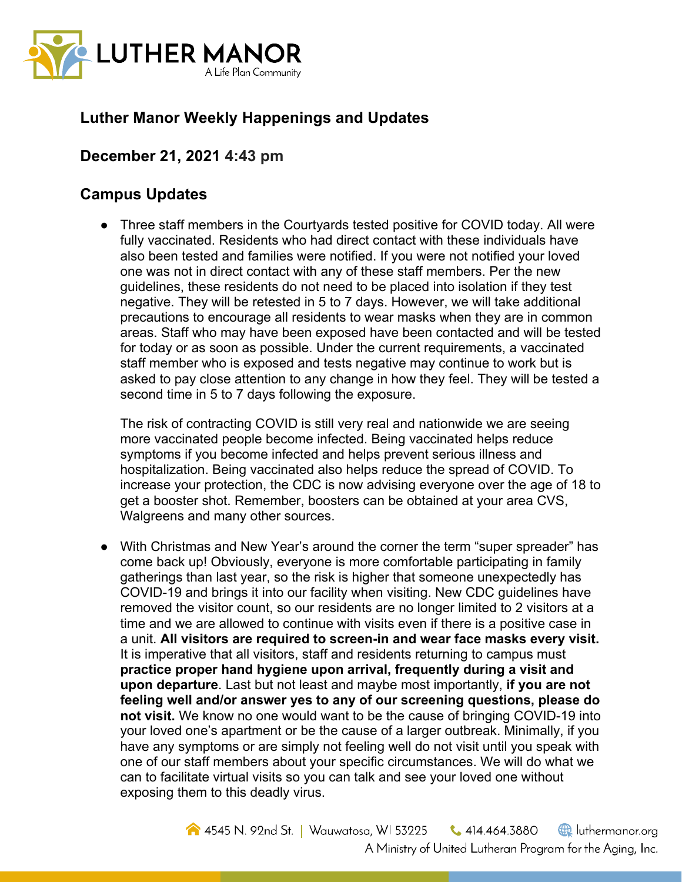

## **Luther Manor Weekly Happenings and Updates**

## **December 21, 2021 4:43 pm**

## **Campus Updates**

● Three staff members in the Courtyards tested positive for COVID today. All were fully vaccinated. Residents who had direct contact with these individuals have also been tested and families were notified. If you were not notified your loved one was not in direct contact with any of these staff members. Per the new guidelines, these residents do not need to be placed into isolation if they test negative. They will be retested in 5 to 7 days. However, we will take additional precautions to encourage all residents to wear masks when they are in common areas. Staff who may have been exposed have been contacted and will be tested for today or as soon as possible. Under the current requirements, a vaccinated staff member who is exposed and tests negative may continue to work but is asked to pay close attention to any change in how they feel. They will be tested a second time in 5 to 7 days following the exposure.

The risk of contracting COVID is still very real and nationwide we are seeing more vaccinated people become infected. Being vaccinated helps reduce symptoms if you become infected and helps prevent serious illness and hospitalization. Being vaccinated also helps reduce the spread of COVID. To increase your protection, the CDC is now advising everyone over the age of 18 to get a booster shot. Remember, boosters can be obtained at your area CVS, Walgreens and many other sources.

● With Christmas and New Year's around the corner the term "super spreader" has come back up! Obviously, everyone is more comfortable participating in family gatherings than last year, so the risk is higher that someone unexpectedly has COVID-19 and brings it into our facility when visiting. New CDC guidelines have removed the visitor count, so our residents are no longer limited to 2 visitors at a time and we are allowed to continue with visits even if there is a positive case in a unit. **All visitors are required to screen-in and wear face masks every visit.** It is imperative that all visitors, staff and residents returning to campus must **practice proper hand hygiene upon arrival, frequently during a visit and upon departure**. Last but not least and maybe most importantly, **if you are not feeling well and/or answer yes to any of our screening questions, please do not visit.** We know no one would want to be the cause of bringing COVID-19 into your loved one's apartment or be the cause of a larger outbreak. Minimally, if you have any symptoms or are simply not feeling well do not visit until you speak with one of our staff members about your specific circumstances. We will do what we can to facilitate virtual visits so you can talk and see your loved one without exposing them to this deadly virus.